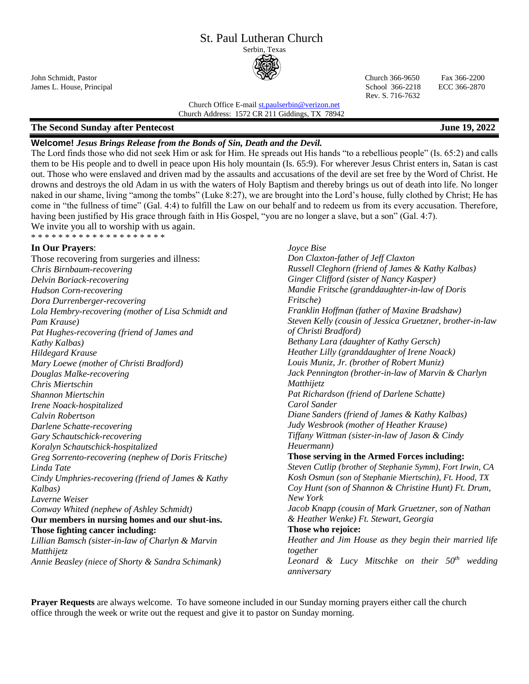# St. Paul Lutheran Church

Serbin, Texas



James L. House, Principal School 366-2218 ECC 366-2870 Rev. S. 716-7632

John Schmidt, Pastor Church 366-9650 Fax 366-2200

Church Office E-mai[l st.paulserbin@verizon.net](mailto:st.paulserbin@verizon.net) Church Address: 1572 CR 211 Giddings, TX 78942

# **The Second Sunday after Pentecost June 19, 2022**

\* \* \* \* \* \* \* \* \* \* \* \* \* \* \* \* \* \* \*

# **Welcome!** *Jesus Brings Release from the Bonds of Sin, Death and the Devil.*

The Lord finds those who did not seek Him or ask for Him. He spreads out His hands "to a rebellious people" (Is. 65:2) and calls them to be His people and to dwell in peace upon His holy mountain (Is. 65:9). For wherever Jesus Christ enters in, Satan is cast out. Those who were enslaved and driven mad by the assaults and accusations of the devil are set free by the Word of Christ. He drowns and destroys the old Adam in us with the waters of Holy Baptism and thereby brings us out of death into life. No longer naked in our shame, living "among the tombs" (Luke 8:27), we are brought into the Lord's house, fully clothed by Christ; He has come in "the fullness of time" (Gal. 4:4) to fulfill the Law on our behalf and to redeem us from its every accusation. Therefore, having been justified by His grace through faith in His Gospel, "you are no longer a slave, but a son" (Gal. 4:7). We invite you all to worship with us again.

#### **In Our Prayers**:

Those recovering from surgeries and illness: *Chris Birnbaum-recovering Delvin Boriack-recovering Hudson Corn-recovering Dora Durrenberger-recovering Lola Hembry-recovering (mother of Lisa Schmidt and Pam Krause) Pat Hughes-recovering (friend of James and Kathy Kalbas) Hildegard Krause Mary Loewe (mother of Christi Bradford) Douglas Malke-recovering Chris Miertschin Shannon Miertschin Irene Noack-hospitalized Calvin Robertson Darlene Schatte-recovering Gary Schautschick-recovering Koralyn Schautschick-hospitalized Greg Sorrento-recovering (nephew of Doris Fritsche) Linda Tate Cindy Umphries-recovering (friend of James & Kathy Kalbas) Laverne Weiser Conway Whited (nephew of Ashley Schmidt)* **Our members in nursing homes and our shut-ins. Those fighting cancer including:**  *Lillian Bamsch (sister-in-law of Charlyn & Marvin Matthijetz*

*Annie Beasley (niece of Shorty & Sandra Schimank)*

*Joyce Bise Don Claxton-father of Jeff Claxton Russell Cleghorn (friend of James & Kathy Kalbas) Ginger Clifford (sister of Nancy Kasper) Mandie Fritsche (granddaughter-in-law of Doris Fritsche) Franklin Hoffman (father of Maxine Bradshaw) Steven Kelly (cousin of Jessica Gruetzner, brother-in-law of Christi Bradford) Bethany Lara (daughter of Kathy Gersch) Heather Lilly (granddaughter of Irene Noack) Louis Muniz, Jr. (brother of Robert Muniz) Jack Pennington (brother-in-law of Marvin & Charlyn Matthijetz Pat Richardson (friend of Darlene Schatte) Carol Sander Diane Sanders (friend of James & Kathy Kalbas) Judy Wesbrook (mother of Heather Krause) Tiffany Wittman (sister-in-law of Jason & Cindy Heuermann)* **Those serving in the Armed Forces including:** *Steven Cutlip (brother of Stephanie Symm), Fort Irwin, CA Kosh Osmun (son of Stephanie Miertschin), Ft. Hood, TX Coy Hunt (son of Shannon & Christine Hunt) Ft. Drum, New York Jacob Knapp (cousin of Mark Gruetzner, son of Nathan & Heather Wenke) Ft. Stewart, Georgia* **Those who rejoice:** *Heather and Jim House as they begin their married life together Leonard & Lucy Mitschke on their 50th wedding anniversary*

**Prayer Requests** are always welcome. To have someone included in our Sunday morning prayers either call the church office through the week or write out the request and give it to pastor on Sunday morning.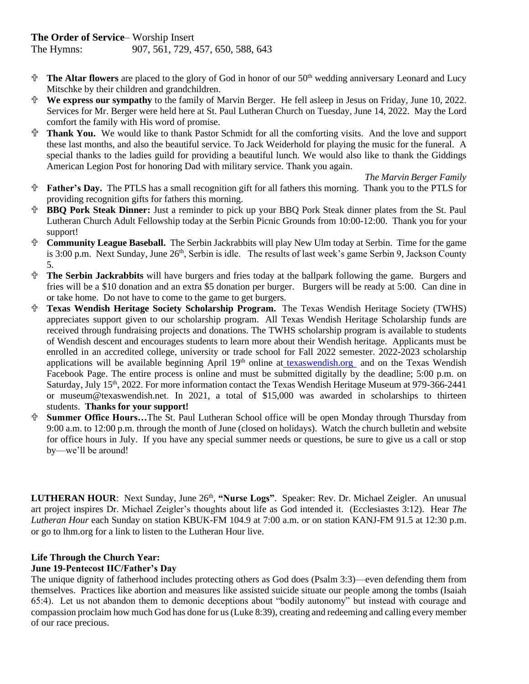# **The Order of Service**– Worship Insert

The Hymns: 907, 561, 729, 457, 650, 588, 643

- **The Altar flowers** are placed to the glory of God in honor of our 50th wedding anniversary Leonard and Lucy Mitschke by their children and grandchildren.
- **We express our sympathy** to the family of Marvin Berger. He fell asleep in Jesus on Friday, June 10, 2022. Services for Mr. Berger were held here at St. Paul Lutheran Church on Tuesday, June 14, 2022. May the Lord comfort the family with His word of promise.
- **Thank You.** We would like to thank Pastor Schmidt for all the comforting visits. And the love and support these last months, and also the beautiful service. To Jack Weiderhold for playing the music for the funeral. A special thanks to the ladies guild for providing a beautiful lunch. We would also like to thank the Giddings American Legion Post for honoring Dad with military service. Thank you again.

 *The Marvin Berger Family*

- **Father's Day.** The PTLS has a small recognition gift for all fathers this morning. Thank you to the PTLS for providing recognition gifts for fathers this morning.
- **BBQ Pork Steak Dinner:** Just a reminder to pick up your BBQ Pork Steak dinner plates from the St. Paul Lutheran Church Adult Fellowship today at the Serbin Picnic Grounds from 10:00-12:00. Thank you for your support!
- **Community League Baseball.** The Serbin Jackrabbits will play New Ulm today at Serbin. Time for the game is 3:00 p.m. Next Sunday, June 26<sup>th</sup>, Serbin is idle. The results of last week's game Serbin 9, Jackson County 5.
- **The Serbin Jackrabbits** will have burgers and fries today at the ballpark following the game. Burgers and fries will be a \$10 donation and an extra \$5 donation per burger. Burgers will be ready at 5:00. Can dine in or take home. Do not have to come to the game to get burgers.
- **Texas Wendish Heritage Society Scholarship Program.** The Texas Wendish Heritage Society (TWHS) appreciates support given to our scholarship program. All Texas Wendish Heritage Scholarship funds are received through fundraising projects and donations. The TWHS scholarship program is available to students of Wendish descent and encourages students to learn more about their Wendish heritage. Applicants must be enrolled in an accredited college, university or trade school for Fall 2022 semester. 2022-2023 scholarship applications will be available beginning April 19<sup>th</sup> online at [texaswendish.org](http://www.texaswendish.org/) and on the Texas Wendish Facebook Page. The entire process is online and must be submitted digitally by the deadline; 5:00 p.m. on Saturday, July 15th, 2022. For more information contact the Texas Wendish Heritage Museum at 979-366-2441 or museum@texaswendish.net. In 2021, a total of \$15,000 was awarded in scholarships to thirteen students. **Thanks for your support!**
- **Summer Office Hours…**The St. Paul Lutheran School office will be open Monday through Thursday from 9:00 a.m. to 12:00 p.m. through the month of June (closed on holidays). Watch the church bulletin and website for office hours in July. If you have any special summer needs or questions, be sure to give us a call or stop by—we'll be around!

LUTHERAN HOUR: Next Sunday, June 26<sup>th</sup>, "Nurse Logs". Speaker: Rev. Dr. Michael Zeigler. An unusual art project inspires Dr. Michael Zeigler's thoughts about life as God intended it. (Ecclesiastes 3:12). Hear *The Lutheran Hour* each Sunday on station KBUK-FM 104.9 at 7:00 a.m. or on station KANJ-FM 91.5 at 12:30 p.m. or go to lhm.org for a link to listen to the Lutheran Hour live.

## **Life Through the Church Year:**

## **June 19-Pentecost IIC/Father's Day**

The unique dignity of fatherhood includes protecting others as God does (Psalm 3:3)—even defending them from themselves. Practices like abortion and measures like assisted suicide situate our people among the tombs (Isaiah 65:4). Let us not abandon them to demonic deceptions about "bodily autonomy" but instead with courage and compassion proclaim how much God has done for us (Luke 8:39), creating and redeeming and calling every member of our race precious.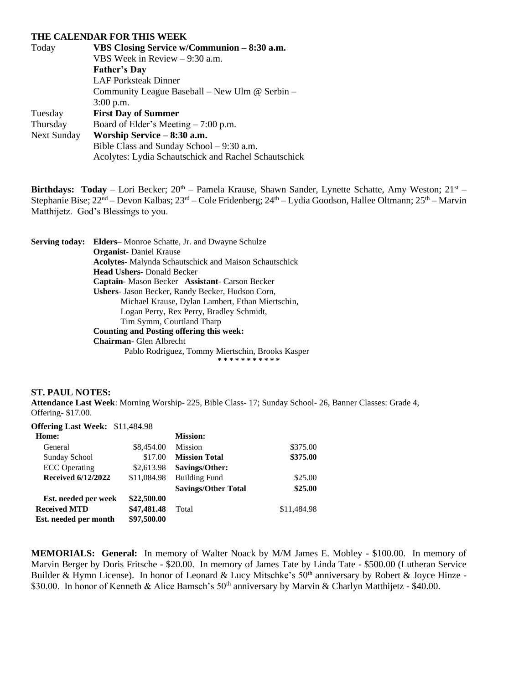#### **THE CALENDAR FOR THIS WEEK**

| Today       | VBS Closing Service w/Communion – 8:30 a.m.          |  |  |
|-------------|------------------------------------------------------|--|--|
|             | VBS Week in Review $-9:30$ a.m.                      |  |  |
|             | <b>Father's Day</b>                                  |  |  |
|             | <b>LAF Porksteak Dinner</b>                          |  |  |
|             | Community League Baseball – New Ulm @ Serbin –       |  |  |
|             | $3:00$ p.m.                                          |  |  |
| Tuesday     | <b>First Day of Summer</b>                           |  |  |
| Thursday    | Board of Elder's Meeting $-7:00$ p.m.                |  |  |
| Next Sunday | Worship Service – 8:30 a.m.                          |  |  |
|             | Bible Class and Sunday School $-9:30$ a.m.           |  |  |
|             | Acolytes: Lydia Schautschick and Rachel Schautschick |  |  |

**Birthdays: Today** – Lori Becker; 20<sup>th</sup> – Pamela Krause, Shawn Sander, Lynette Schatte, Amy Weston; 21<sup>st</sup> – Stephanie Bise; 22nd – Devon Kalbas; 23rd – Cole Fridenberg; 24th – Lydia Goodson, Hallee Oltmann; 25th – Marvin Matthijetz. God's Blessings to you.

**Serving today: Elders**– Monroe Schatte, Jr. and Dwayne Schulze **Organist**- Daniel Krause **Acolytes**- Malynda Schautschick and Maison Schautschick **Head Ushers-** Donald Becker **Captain**- Mason Becker **Assistant**- Carson Becker **Ushers**- Jason Becker, Randy Becker, Hudson Corn, Michael Krause, Dylan Lambert, Ethan Miertschin, Logan Perry, Rex Perry, Bradley Schmidt, Tim Symm, Courtland Tharp **Counting and Posting offering this week: Chairman**- Glen Albrecht Pablo Rodriguez, Tommy Miertschin, Brooks Kasper **\* \* \* \* \* \* \* \* \* \* \***

#### **ST. PAUL NOTES:**

**Attendance Last Week**: Morning Worship- 225, Bible Class- 17; Sunday School- 26, Banner Classes: Grade 4, Offering- \$17.00.

| <b>Offering Last Week: \$11,484.98</b> |             |                            |             |
|----------------------------------------|-------------|----------------------------|-------------|
| Home:                                  |             | <b>Mission:</b>            |             |
| General                                | \$8,454.00  | <b>Mission</b>             | \$375.00    |
| Sunday School                          | \$17.00     | <b>Mission Total</b>       | \$375.00    |
| <b>ECC</b> Operating                   | \$2,613.98  | Savings/Other:             |             |
| <b>Received 6/12/2022</b>              | \$11,084.98 | <b>Building Fund</b>       | \$25.00     |
|                                        |             | <b>Savings/Other Total</b> | \$25.00     |
| Est. needed per week                   | \$22,500.00 |                            |             |
| <b>Received MTD</b>                    | \$47,481.48 | Total                      | \$11,484.98 |
| Est. needed per month                  | \$97,500.00 |                            |             |

**MEMORIALS: General:** In memory of Walter Noack by M/M James E. Mobley - \$100.00. In memory of Marvin Berger by Doris Fritsche - \$20.00. In memory of James Tate by Linda Tate - \$500.00 (Lutheran Service Builder & Hymn License). In honor of Leonard & Lucy Mitschke's  $50<sup>th</sup>$  anniversary by Robert & Joyce Hinze -\$30.00. In honor of Kenneth & Alice Bamsch's 50<sup>th</sup> anniversary by Marvin & Charlyn Matthijetz - \$40.00.